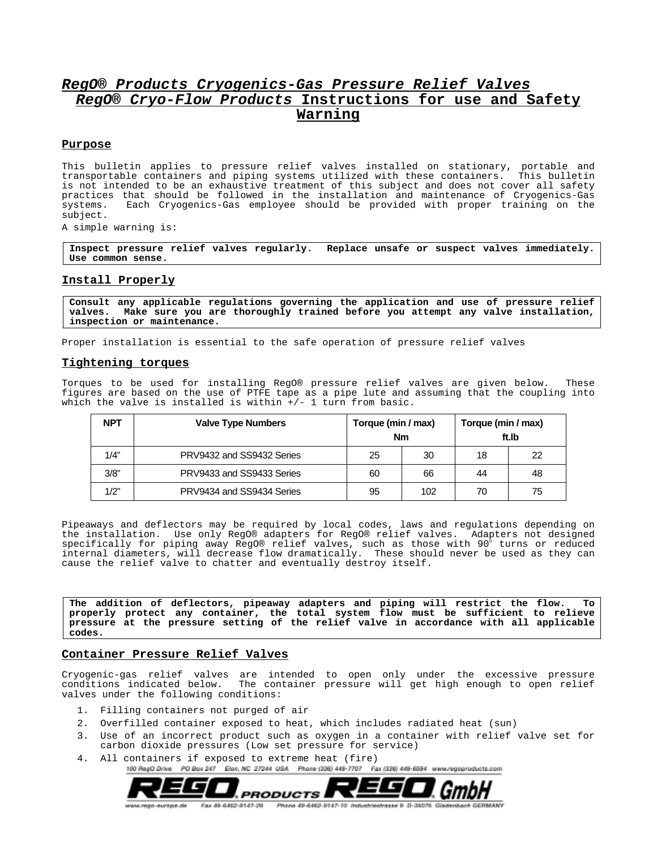# **RegO® Products Cryogenics-Gas Pressure Relief Valves RegO® Cryo-Flow Products Instructions for use and Safety Warning**

### **Purpose**

This bulletin applies to pressure relief valves installed on stationary, portable and transportable containers and piping systems utilized with these containers. This bulletin is not intended to be an exhaustive treatment of this subject and does not cover all safety practices that should be followed in the installation and maintenance of Cryogenics-Gas systems. Each Cryogenics-Gas employee should be provided with proper training on the subject.

A simple warning is:

**Inspect pressure relief valves regularly. Replace unsafe or suspect valves immediately. Use common sense.**

# **Install Properly**

**Consult any applicable regulations governing the application and use of pressure relief valves. Make sure you are thoroughly trained before you attempt any valve installation, inspection or maintenance.**

Proper installation is essential to the safe operation of pressure relief valves

### **Tightening torques**

Torques to be used for installing RegO® pressure relief valves are given below. These figures are based on the use of PTFE tape as a pipe lute and assuming that the coupling into which the valve is installed is within  $+/- 1$  turn from basic.

| <b>NPT</b> | <b>Valve Type Numbers</b> | Torque (min / max)<br><b>Nm</b> |     | Torque (min / max)<br>ft.Ib |    |
|------------|---------------------------|---------------------------------|-----|-----------------------------|----|
| 1/4"       | PRV9432 and SS9432 Series | 25                              | 30  | 18                          | 22 |
| 3/8"       | PRV9433 and SS9433 Series | 60                              | 66  | 44                          | 48 |
| 1/2"       | PRV9434 and SS9434 Series | 95                              | 102 | 70                          | 75 |

Pipeaways and deflectors may be required by local codes, laws and regulations depending on the installation. Use only RegO® adapters for RegO® relief valves. Adapters not designed specifically for piping away RegO® relief valves, such as those with 90 $^{\circ}$  turns or reduced internal diameters, will decrease flow dramatically. These should never be used as they can cause the relief valve to chatter and eventually destroy itself.

**The addition of deflectors, pipeaway adapters and piping will restrict the flow. To properly protect any container, the total system flow must be sufficient to relieve pressure at the pressure setting of the relief valve in accordance with all applicable codes.**

### **Container Pressure Relief Valves**

Cryogenic-gas relief valves are intended to open only under the excessive pressure conditions indicated below. The container pressure will get high enough to open relief valves under the following conditions:

- 1. Filling containers not purged of air
- 2. Overfilled container exposed to heat, which includes radiated heat (sun)
- 3. Use of an incorrect product such as oxygen in a container with relief valve set for carbon dioxide pressures (Low set pressure for service)
- 4. All containers if exposed to extreme heat (fire)<br>100 Reg0 Drive PO Box 247 Elon, NC 27244 USA Phone (236) 449-7707 Fax (336) 449-6694 www.regoproducts.com